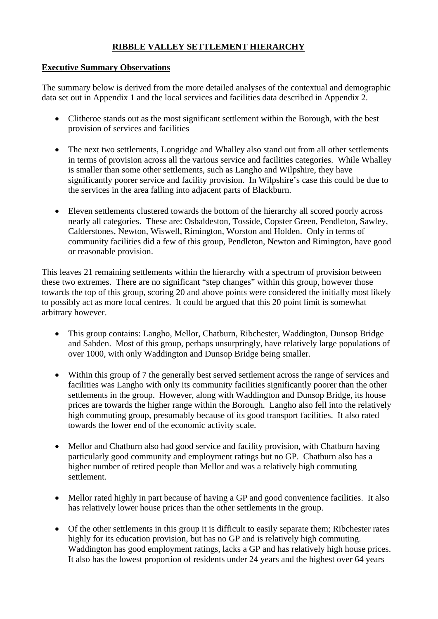# **RIBBLE VALLEY SETTLEMENT HIERARCHY**

### **Executive Summary Observations**

The summary below is derived from the more detailed analyses of the contextual and demographic data set out in Appendix 1 and the local services and facilities data described in Appendix 2.

- Clitheroe stands out as the most significant settlement within the Borough, with the best provision of services and facilities
- The next two settlements, Longridge and Whalley also stand out from all other settlements in terms of provision across all the various service and facilities categories. While Whalley is smaller than some other settlements, such as Langho and Wilpshire, they have significantly poorer service and facility provision. In Wilpshire's case this could be due to the services in the area falling into adjacent parts of Blackburn.
- Eleven settlements clustered towards the bottom of the hierarchy all scored poorly across nearly all categories. These are: Osbaldeston, Tosside, Copster Green, Pendleton, Sawley, Calderstones, Newton, Wiswell, Rimington, Worston and Holden. Only in terms of community facilities did a few of this group, Pendleton, Newton and Rimington, have good or reasonable provision.

This leaves 21 remaining settlements within the hierarchy with a spectrum of provision between these two extremes. There are no significant "step changes" within this group, however those towards the top of this group, scoring 20 and above points were considered the initially most likely to possibly act as more local centres. It could be argued that this 20 point limit is somewhat arbitrary however.

- This group contains: Langho, Mellor, Chatburn, Ribchester, Waddington, Dunsop Bridge and Sabden. Most of this group, perhaps unsurpringly, have relatively large populations of over 1000, with only Waddington and Dunsop Bridge being smaller.
- Within this group of 7 the generally best served settlement across the range of services and facilities was Langho with only its community facilities significantly poorer than the other settlements in the group. However, along with Waddington and Dunsop Bridge, its house prices are towards the higher range within the Borough. Langho also fell into the relatively high commuting group, presumably because of its good transport facilities. It also rated towards the lower end of the economic activity scale.
- Mellor and Chatburn also had good service and facility provision, with Chatburn having particularly good community and employment ratings but no GP. Chatburn also has a higher number of retired people than Mellor and was a relatively high commuting settlement.
- Mellor rated highly in part because of having a GP and good convenience facilities. It also has relatively lower house prices than the other settlements in the group.
- Of the other settlements in this group it is difficult to easily separate them; Ribchester rates highly for its education provision, but has no GP and is relatively high commuting. Waddington has good employment ratings, lacks a GP and has relatively high house prices. It also has the lowest proportion of residents under 24 years and the highest over 64 years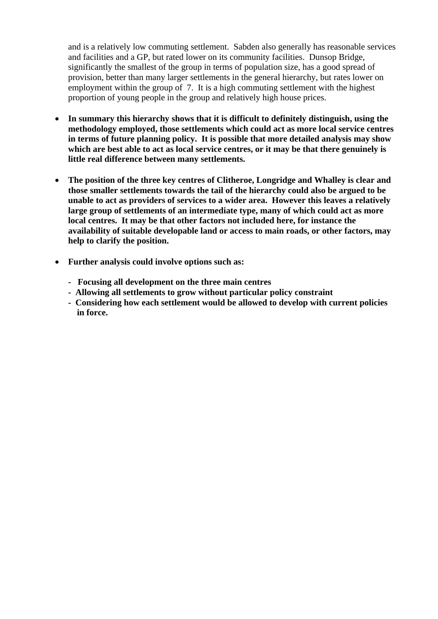and is a relatively low commuting settlement. Sabden also generally has reasonable services and facilities and a GP, but rated lower on its community facilities. Dunsop Bridge, significantly the smallest of the group in terms of population size, has a good spread of provision, better than many larger settlements in the general hierarchy, but rates lower on employment within the group of 7. It is a high commuting settlement with the highest proportion of young people in the group and relatively high house prices.

- **In summary this hierarchy shows that it is difficult to definitely distinguish, using the methodology employed, those settlements which could act as more local service centres in terms of future planning policy. It is possible that more detailed analysis may show which are best able to act as local service centres, or it may be that there genuinely is little real difference between many settlements.**
- **The position of the three key centres of Clitheroe, Longridge and Whalley is clear and those smaller settlements towards the tail of the hierarchy could also be argued to be unable to act as providers of services to a wider area. However this leaves a relatively large group of settlements of an intermediate type, many of which could act as more local centres. It may be that other factors not included here, for instance the availability of suitable developable land or access to main roads, or other factors, may help to clarify the position.**
- **Further analysis could involve options such as:** 
	- **Focusing all development on the three main centres**
	- **Allowing all settlements to grow without particular policy constraint**
	- **Considering how each settlement would be allowed to develop with current policies in force.**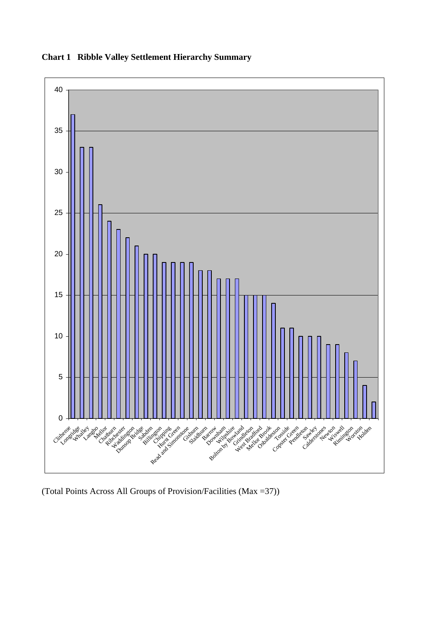

**Chart 1 Ribble Valley Settlement Hierarchy Summary** 

(Total Points Across All Groups of Provision/Facilities (Max =37))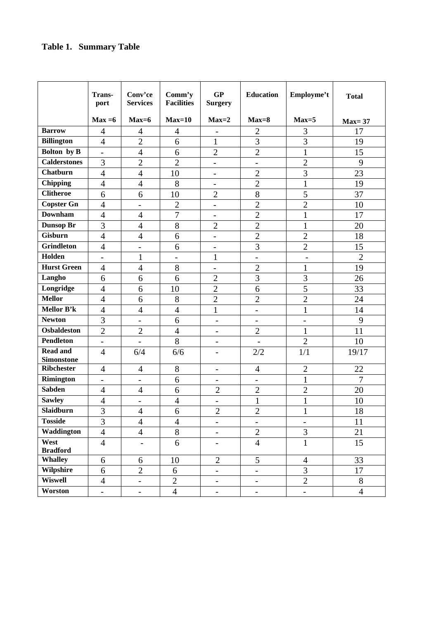# **Table 1. Summary Table**

|                         | Trans-<br>port                   | Conv'ce<br><b>Services</b> | Comm'y<br><b>Facilities</b> | GP<br><b>Surgery</b>         | <b>Education</b>         | Employme't               | <b>Total</b>   |
|-------------------------|----------------------------------|----------------------------|-----------------------------|------------------------------|--------------------------|--------------------------|----------------|
|                         | $Max = 6$                        | $Max=6$                    | $Max=10$                    | $Max=2$                      | $Max=8$                  | $Max=5$                  | <b>Max=37</b>  |
| <b>Barrow</b>           | $\overline{4}$                   | $\overline{4}$             | 4                           |                              | $\overline{2}$           | 3                        | 17             |
| <b>Billington</b>       | $\overline{4}$                   | $\overline{2}$             | 6                           | $\mathbf{1}$                 | $\overline{3}$           | $\overline{3}$           | 19             |
| Bolton by B             | $\frac{1}{2}$                    | $\overline{4}$             | 6                           | $\overline{2}$               | $\overline{2}$           | $\mathbf{1}$             | 15             |
| <b>Calderstones</b>     | 3                                | $\overline{2}$             | $\overline{2}$              | $\overline{\phantom{0}}$     | $\overline{\phantom{0}}$ | $\overline{2}$           | 9              |
| <b>Chatburn</b>         | $\overline{4}$                   | $\overline{4}$             | 10                          | $\qquad \qquad -$            | $\overline{2}$           | $\overline{3}$           | 23             |
| <b>Chipping</b>         | $\overline{4}$                   | $\overline{4}$             | 8                           | $\overline{\phantom{a}}$     | $\overline{2}$           | $\mathbf{1}$             | 19             |
| <b>Clitheroe</b>        | 6                                | 6                          | 10                          | $\overline{2}$               | 8                        | 5                        | 37             |
| <b>Copster Gn</b>       | $\overline{4}$                   | $\overline{\phantom{m}}$   | $\overline{2}$              | $\qquad \qquad -$            | $\overline{2}$           | $\overline{2}$           | 10             |
| <b>Downham</b>          | $\overline{4}$                   | $\overline{4}$             | $\overline{7}$              | $\overline{\phantom{0}}$     | $\overline{2}$           | $\mathbf{1}$             | 17             |
| <b>Dunsop Br</b>        | 3                                | $\overline{4}$             | 8                           | $\overline{2}$               | $\overline{2}$           | $\mathbf{1}$             | 20             |
| <b>Gisburn</b>          | $\overline{4}$                   | $\overline{4}$             | 6                           | $\overline{\phantom{a}}$     | $\overline{2}$           | $\overline{2}$           | 18             |
| <b>Grindleton</b>       | $\overline{4}$                   | $\overline{a}$             | 6                           | $\overline{\phantom{0}}$     | 3                        | $\overline{2}$           | 15             |
| Holden                  | $\overline{\phantom{a}}$         | $\mathbf{1}$               | $\overline{\phantom{0}}$    | $\mathbf{1}$                 | $\overline{\phantom{0}}$ | $\overline{\phantom{a}}$ | $\overline{2}$ |
| <b>Hurst Green</b>      | $\overline{4}$                   | $\overline{4}$             | 8                           | $\overline{a}$               | $\overline{2}$           | $\mathbf{1}$             | 19             |
| Langho                  | 6                                | 6                          | 6                           | $\overline{2}$               | $\overline{3}$           | 3                        | 26             |
| Longridge               | $\overline{4}$                   | 6                          | 10                          | $\overline{2}$               | 6                        | 5                        | 33             |
| <b>Mellor</b>           | $\overline{4}$                   | 6                          | 8                           | $\overline{2}$               | $\overline{2}$           | $\overline{2}$           | 24             |
| Mellor B'k              | $\overline{4}$                   | $\overline{4}$             | $\overline{4}$              | $\mathbf{1}$                 | $\overline{\phantom{0}}$ | $\mathbf{1}$             | 14             |
| <b>Newton</b>           | 3                                | $\blacksquare$             | 6                           | $\overline{a}$               | $\overline{\phantom{a}}$ | $\overline{a}$           | 9              |
| <b>Osbaldeston</b>      | $\overline{2}$                   | $\overline{2}$             | $\overline{4}$              | $\overline{\phantom{0}}$     | $\overline{2}$           | $\mathbf{1}$             | 11             |
| <b>Pendleton</b>        | $\overline{\phantom{a}}$         | $\blacksquare$             | 8                           | $\overline{\phantom{0}}$     | $\overline{\phantom{a}}$ | $\overline{2}$           | 10             |
| <b>Read and</b>         | $\overline{4}$                   | 6/4                        | 6/6                         | $\overline{\phantom{0}}$     | 2/2                      | 1/1                      | 19/17          |
| <b>Simonstone</b>       |                                  |                            |                             |                              |                          |                          |                |
| <b>Ribchester</b>       | 4                                | $\overline{4}$             | 8                           | $\qquad \qquad -$            | $\overline{4}$           | $\overline{2}$           | 22             |
| <b>Rimington</b>        | $\overline{\phantom{a}}$         | $\overline{\phantom{a}}$   | 6                           | $\qquad \qquad -$            | $\overline{\phantom{a}}$ | $\mathbf{1}$             | $\overline{7}$ |
| <b>Sabden</b>           | $\overline{4}$                   | $\overline{4}$             | 6                           | $\overline{2}$               | $\overline{2}$           | $\overline{2}$           | 20             |
| <b>Sawley</b>           | $\overline{4}$                   | $\qquad \qquad -$          | $\overline{4}$              | $\qquad \qquad \blacksquare$ | $\mathbf{1}$             | $\mathbf{1}$             | 10             |
| Slaidburn               | $\overline{3}$<br>$\overline{3}$ | $\overline{4}$             | $\overline{6}$              | $\overline{2}$               | $\overline{2}$           | $\mathbf 1$              | 18             |
| <b>Tosside</b>          |                                  | $\overline{4}$             | $\overline{4}$              | $\qquad \qquad -$            | $\overline{\phantom{0}}$ | $\overline{\phantom{0}}$ | 11             |
| Waddington              | $\overline{4}$                   | $\overline{4}$             | 8                           | $\overline{\phantom{a}}$     | $\overline{2}$           | 3                        | 21             |
| West<br><b>Bradford</b> | $\overline{4}$                   | $\qquad \qquad -$          | 6                           | $\overline{\phantom{a}}$     | $\overline{4}$           | $\mathbf{1}$             | 15             |
| Whalley                 | 6                                | 6                          | 10                          | $\mathbf{2}$                 | 5                        | $\overline{4}$           | 33             |
| Wilpshire               | 6                                | $\overline{2}$             | 6                           | $\qquad \qquad -$            | $\overline{\phantom{0}}$ | 3                        | 17             |
| <b>Wiswell</b>          | $\overline{4}$                   | $\overline{a}$             | $\overline{2}$              | $\overline{\phantom{a}}$     | $\overline{\phantom{0}}$ | $\overline{2}$           | $8\,$          |
| Worston                 | $\blacksquare$                   | $\overline{\phantom{a}}$   | $\overline{4}$              | $\equiv$                     | $\blacksquare$           | $\blacksquare$           | $\overline{4}$ |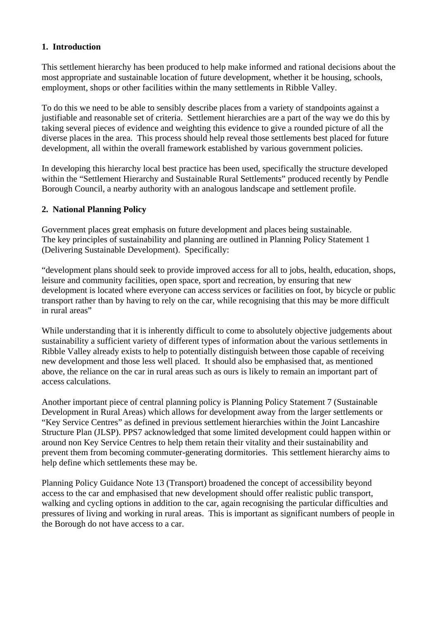# **1. Introduction**

This settlement hierarchy has been produced to help make informed and rational decisions about the most appropriate and sustainable location of future development, whether it be housing, schools, employment, shops or other facilities within the many settlements in Ribble Valley.

To do this we need to be able to sensibly describe places from a variety of standpoints against a justifiable and reasonable set of criteria. Settlement hierarchies are a part of the way we do this by taking several pieces of evidence and weighting this evidence to give a rounded picture of all the diverse places in the area. This process should help reveal those settlements best placed for future development, all within the overall framework established by various government policies.

In developing this hierarchy local best practice has been used, specifically the structure developed within the "Settlement Hierarchy and Sustainable Rural Settlements" produced recently by Pendle Borough Council, a nearby authority with an analogous landscape and settlement profile.

### **2. National Planning Policy**

Government places great emphasis on future development and places being sustainable. The key principles of sustainability and planning are outlined in Planning Policy Statement 1 (Delivering Sustainable Development). Specifically:

"development plans should seek to provide improved access for all to jobs, health, education, shops, leisure and community facilities, open space, sport and recreation, by ensuring that new development is located where everyone can access services or facilities on foot, by bicycle or public transport rather than by having to rely on the car, while recognising that this may be more difficult in rural areas"

While understanding that it is inherently difficult to come to absolutely objective judgements about sustainability a sufficient variety of different types of information about the various settlements in Ribble Valley already exists to help to potentially distinguish between those capable of receiving new development and those less well placed. It should also be emphasised that, as mentioned above, the reliance on the car in rural areas such as ours is likely to remain an important part of access calculations.

Another important piece of central planning policy is Planning Policy Statement 7 (Sustainable Development in Rural Areas) which allows for development away from the larger settlements or "Key Service Centres" as defined in previous settlement hierarchies within the Joint Lancashire Structure Plan (JLSP). PPS7 acknowledged that some limited development could happen within or around non Key Service Centres to help them retain their vitality and their sustainability and prevent them from becoming commuter-generating dormitories. This settlement hierarchy aims to help define which settlements these may be.

Planning Policy Guidance Note 13 (Transport) broadened the concept of accessibility beyond access to the car and emphasised that new development should offer realistic public transport, walking and cycling options in addition to the car, again recognising the particular difficulties and pressures of living and working in rural areas. This is important as significant numbers of people in the Borough do not have access to a car.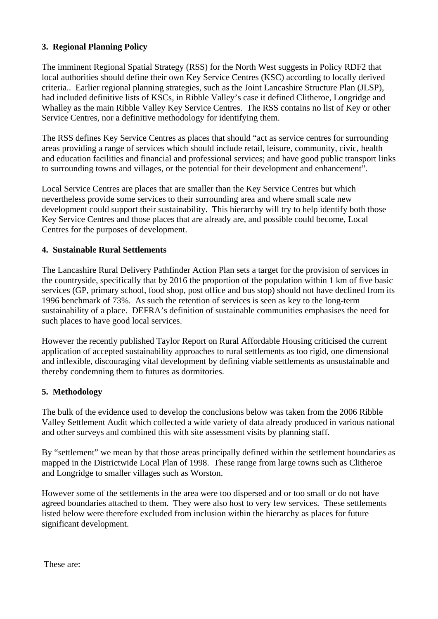# **3. Regional Planning Policy**

The imminent Regional Spatial Strategy (RSS) for the North West suggests in Policy RDF2 that local authorities should define their own Key Service Centres (KSC) according to locally derived criteria.. Earlier regional planning strategies, such as the Joint Lancashire Structure Plan (JLSP), had included definitive lists of KSCs, in Ribble Valley's case it defined Clitheroe, Longridge and Whalley as the main Ribble Valley Key Service Centres. The RSS contains no list of Key or other Service Centres, nor a definitive methodology for identifying them.

The RSS defines Key Service Centres as places that should "act as service centres for surrounding areas providing a range of services which should include retail, leisure, community, civic, health and education facilities and financial and professional services; and have good public transport links to surrounding towns and villages, or the potential for their development and enhancement".

Local Service Centres are places that are smaller than the Key Service Centres but which nevertheless provide some services to their surrounding area and where small scale new development could support their sustainability. This hierarchy will try to help identify both those Key Service Centres and those places that are already are, and possible could become, Local Centres for the purposes of development.

# **4. Sustainable Rural Settlements**

The Lancashire Rural Delivery Pathfinder Action Plan sets a target for the provision of services in the countryside, specifically that by 2016 the proportion of the population within 1 km of five basic services (GP, primary school, food shop, post office and bus stop) should not have declined from its 1996 benchmark of 73%. As such the retention of services is seen as key to the long-term sustainability of a place. DEFRA's definition of sustainable communities emphasises the need for such places to have good local services.

However the recently published Taylor Report on Rural Affordable Housing criticised the current application of accepted sustainability approaches to rural settlements as too rigid, one dimensional and inflexible, discouraging vital development by defining viable settlements as unsustainable and thereby condemning them to futures as dormitories.

# **5. Methodology**

The bulk of the evidence used to develop the conclusions below was taken from the 2006 Ribble Valley Settlement Audit which collected a wide variety of data already produced in various national and other surveys and combined this with site assessment visits by planning staff.

By "settlement" we mean by that those areas principally defined within the settlement boundaries as mapped in the Districtwide Local Plan of 1998. These range from large towns such as Clitheroe and Longridge to smaller villages such as Worston.

However some of the settlements in the area were too dispersed and or too small or do not have agreed boundaries attached to them. They were also host to very few services. These settlements listed below were therefore excluded from inclusion within the hierarchy as places for future significant development.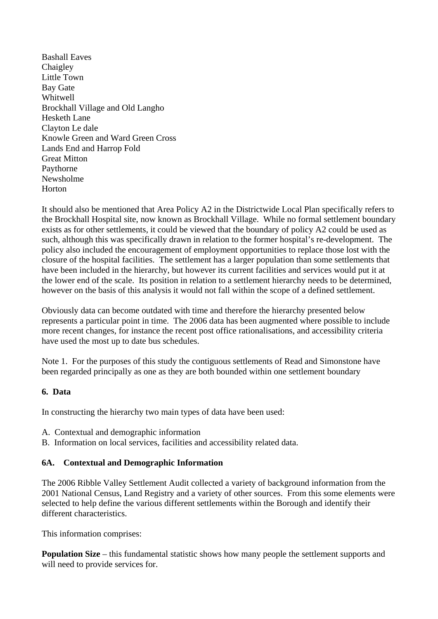Bashall Eaves Chaigley Little Town Bay Gate Whitwell Brockhall Village and Old Langho Hesketh Lane Clayton Le dale Knowle Green and Ward Green Cross Lands End and Harrop Fold Great Mitton Paythorne Newsholme Horton

It should also be mentioned that Area Policy A2 in the Districtwide Local Plan specifically refers to the Brockhall Hospital site, now known as Brockhall Village. While no formal settlement boundary exists as for other settlements, it could be viewed that the boundary of policy A2 could be used as such, although this was specifically drawn in relation to the former hospital's re-development. The policy also included the encouragement of employment opportunities to replace those lost with the closure of the hospital facilities. The settlement has a larger population than some settlements that have been included in the hierarchy, but however its current facilities and services would put it at the lower end of the scale. Its position in relation to a settlement hierarchy needs to be determined, however on the basis of this analysis it would not fall within the scope of a defined settlement.

Obviously data can become outdated with time and therefore the hierarchy presented below represents a particular point in time. The 2006 data has been augmented where possible to include more recent changes, for instance the recent post office rationalisations, and accessibility criteria have used the most up to date bus schedules.

Note 1. For the purposes of this study the contiguous settlements of Read and Simonstone have been regarded principally as one as they are both bounded within one settlement boundary

# **6. Data**

In constructing the hierarchy two main types of data have been used:

- A. Contextual and demographic information
- B. Information on local services, facilities and accessibility related data.

# **6A. Contextual and Demographic Information**

The 2006 Ribble Valley Settlement Audit collected a variety of background information from the 2001 National Census, Land Registry and a variety of other sources. From this some elements were selected to help define the various different settlements within the Borough and identify their different characteristics.

This information comprises:

**Population Size** – this fundamental statistic shows how many people the settlement supports and will need to provide services for.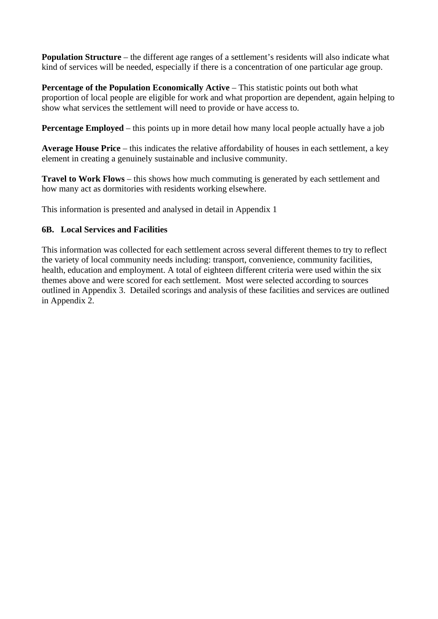**Population Structure** – the different age ranges of a settlement's residents will also indicate what kind of services will be needed, especially if there is a concentration of one particular age group.

**Percentage of the Population Economically Active** – This statistic points out both what proportion of local people are eligible for work and what proportion are dependent, again helping to show what services the settlement will need to provide or have access to.

**Percentage Employed** – this points up in more detail how many local people actually have a job

**Average House Price** – this indicates the relative affordability of houses in each settlement, a key element in creating a genuinely sustainable and inclusive community.

**Travel to Work Flows** – this shows how much commuting is generated by each settlement and how many act as dormitories with residents working elsewhere.

This information is presented and analysed in detail in Appendix 1

# **6B. Local Services and Facilities**

This information was collected for each settlement across several different themes to try to reflect the variety of local community needs including: transport, convenience, community facilities, health, education and employment. A total of eighteen different criteria were used within the six themes above and were scored for each settlement. Most were selected according to sources outlined in Appendix 3. Detailed scorings and analysis of these facilities and services are outlined in Appendix 2.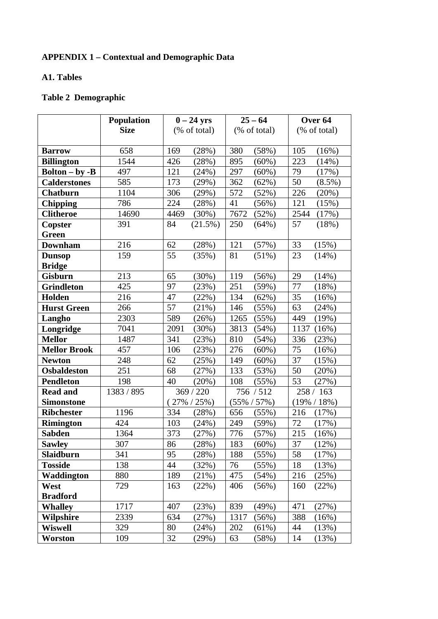# **APPENDIX 1 – Contextual and Demographic Data**

# **A1. Tables**

# **Table 2 Demographic**

|                       | <b>Population</b> | $0-24$ yrs      | $25 - 64$       | Over <sub>64</sub> |
|-----------------------|-------------------|-----------------|-----------------|--------------------|
|                       | <b>Size</b>       | (% of total)    | (% of total)    | (% of total)       |
|                       |                   |                 |                 |                    |
| <b>Barrow</b>         | 658               | 169<br>(28%)    | 380<br>(58%)    | 105<br>(16%)       |
| <b>Billington</b>     | 1544              | 426<br>(28%)    | 895<br>(60%)    | 223<br>(14%)       |
| <b>Bolton - by -B</b> | 497               | 121<br>(24%)    | 297<br>$(60\%)$ | 79<br>(17%)        |
| <b>Calderstones</b>   | 585               | 173<br>(29%)    | 362<br>(62%)    | 50<br>$(8.5\%)$    |
| <b>Chatburn</b>       | 1104              | 306<br>(29%)    | 572<br>(52%)    | 226<br>(20%)       |
| <b>Chipping</b>       | 786               | 224<br>(28%)    | 41<br>(56%)     | 121<br>(15%)       |
| <b>Clitheroe</b>      | 14690             | 4469<br>(30%)   | 7672<br>(52%)   | 2544<br>(17%)      |
| Copster               | 391               | 84<br>(21.5%)   | 250<br>(64%)    | 57<br>(18%)        |
| <b>Green</b>          |                   |                 |                 |                    |
| <b>Downham</b>        | 216               | 62<br>(28%)     | 121<br>(57%)    | 33<br>(15%)        |
| <b>Dunsop</b>         | 159               | 55<br>(35%)     | 81<br>$(51\%)$  | 23<br>(14%)        |
| <b>Bridge</b>         |                   |                 |                 |                    |
| <b>Gisburn</b>        | 213               | 65<br>(30%)     | 119<br>(56%)    | 29<br>(14%)        |
| <b>Grindleton</b>     | 425               | 97<br>(23%)     | 251<br>(59%)    | 77<br>(18%)        |
| Holden                | 216               | 47<br>(22%)     | 134<br>(62%)    | 35<br>(16%)        |
| <b>Hurst Green</b>    | 266               | 57<br>(21%)     | 146<br>(55%)    | 63<br>(24%)        |
| Langho                | 2303              | 589<br>(26%)    | 1265<br>(55%)   | 449<br>(19%)       |
| Longridge             | 7041              | 2091<br>(30%)   | 3813<br>(54%)   | 1137<br>(16%)      |
| <b>Mellor</b>         | 1487              | 341<br>(23%)    | 810<br>(54%)    | 336<br>(23%)       |
| <b>Mellor Brook</b>   | 457               | 106<br>(23%)    | 276<br>$(60\%)$ | 75<br>(16%)        |
| <b>Newton</b>         | 248               | 62<br>(25%)     | 149<br>(60%)    | 37<br>(15%)        |
| <b>Osbaldeston</b>    | 251               | 68<br>(27%)     | 133<br>(53%)    | 50<br>(20%)        |
| <b>Pendleton</b>      | 198               | 40<br>(20%)     | 108<br>(55%)    | 53<br>(27%)        |
| <b>Read and</b>       | 1383 / 895        | 369 / 220       | 756 / 512       | 258 / 163          |
| <b>Simonstone</b>     |                   | $(27\% / 25\%)$ | $(55\% / 57\%)$ | $(19\% / 18\%)$    |
| <b>Ribchester</b>     | 1196              | 334<br>(28%)    | 656<br>(55%)    | 216<br>(17%)       |
| <b>Rimington</b>      | 424               | 103<br>(24%)    | 249<br>(59%)    | 72<br>(17%)        |
| Sabden                | 1364              | 373<br>(27%)    | 776<br>(57%)    | 215<br>(16%)       |
| <b>Sawley</b>         | 307               | 86<br>(28%)     | 183<br>(60%)    | 37<br>(12%)        |
| Slaidburn             | 341               | 95<br>(28%)     | 188<br>(55%)    | 58<br>(17%)        |
| <b>Tosside</b>        | 138               | 44<br>(32%)     | 76<br>(55%)     | 18<br>(13%)        |
| Waddington            | 880               | 189<br>(21%)    | 475<br>(54%)    | 216<br>(25%)       |
| West                  | 729               | 163<br>(22%)    | 406<br>(56%)    | (22%)<br>160       |
| <b>Bradford</b>       |                   |                 |                 |                    |
| <b>Whalley</b>        | 1717              | 407<br>(23%)    | 839<br>(49%)    | 471<br>(27%)       |
| <b>Wilpshire</b>      | 2339              | 634<br>(27%)    | 1317<br>(56%)   | 388<br>(16%)       |
| <b>Wiswell</b>        | 329               | 80<br>(24%)     | 202<br>(61%)    | 44<br>(13%)        |
| Worston               | 109               | 32<br>(29%)     | 63<br>(58%)     | 14<br>(13%)        |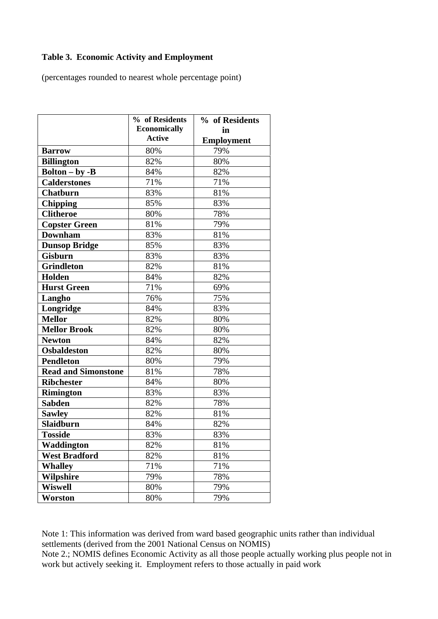# **Table 3. Economic Activity and Employment**

(percentages rounded to nearest whole percentage point)

|                                        | % of Residents                       | % of Residents    |
|----------------------------------------|--------------------------------------|-------------------|
|                                        | <b>Economically</b><br><b>Active</b> | in                |
|                                        |                                      | <b>Employment</b> |
| <b>Barrow</b>                          | 80%                                  | 79%               |
| <b>Billington</b>                      | 82%                                  | 80%               |
| $\text{Bolton} - \text{by} - \text{B}$ | 84%                                  | 82%               |
| <b>Calderstones</b>                    | 71%                                  | 71%               |
| <b>Chatburn</b>                        | 83%                                  | 81%               |
| <b>Chipping</b>                        | 85%                                  | 83%               |
| <b>Clitheroe</b>                       | 80%                                  | 78%               |
| <b>Copster Green</b>                   | 81%                                  | 79%               |
| <b>Downham</b>                         | 83%                                  | 81%               |
| <b>Dunsop Bridge</b>                   | 85%                                  | 83%               |
| <b>Gisburn</b>                         | 83%                                  | 83%               |
| <b>Grindleton</b>                      | 82%                                  | 81%               |
| Holden                                 | 84%                                  | 82%               |
| <b>Hurst Green</b>                     | 71%                                  | 69%               |
| Langho                                 | 76%                                  | 75%               |
| Longridge                              | 84%                                  | 83%               |
| <b>Mellor</b>                          | 82%                                  | 80%               |
| <b>Mellor Brook</b>                    | 82%                                  | 80%               |
| <b>Newton</b>                          | 84%                                  | 82%               |
| <b>Osbaldeston</b>                     | 82%                                  | 80%               |
| <b>Pendleton</b>                       | 80%                                  | 79%               |
| <b>Read and Simonstone</b>             | 81%                                  | 78%               |
| <b>Ribchester</b>                      | 84%                                  | 80%               |
| <b>Rimington</b>                       | 83%                                  | 83%               |
| <b>Sabden</b>                          | 82%                                  | 78%               |
| <b>Sawley</b>                          | 82%                                  | 81%               |
| Slaidburn                              | 84%                                  | 82%               |
| <b>Tosside</b>                         | 83%                                  | 83%               |
| Waddington                             | 82%                                  | 81%               |
| <b>West Bradford</b>                   | 82%                                  | 81%               |
| <b>Whalley</b>                         | 71%                                  | 71%               |
| <b>Wilpshire</b>                       | 79%                                  | 78%               |
| <b>Wiswell</b>                         | 80%                                  | 79%               |
| Worston                                | 80%                                  | 79%               |

Note 1: This information was derived from ward based geographic units rather than individual settlements (derived from the 2001 National Census on NOMIS)

Note 2.; NOMIS defines Economic Activity as all those people actually working plus people not in work but actively seeking it. Employment refers to those actually in paid work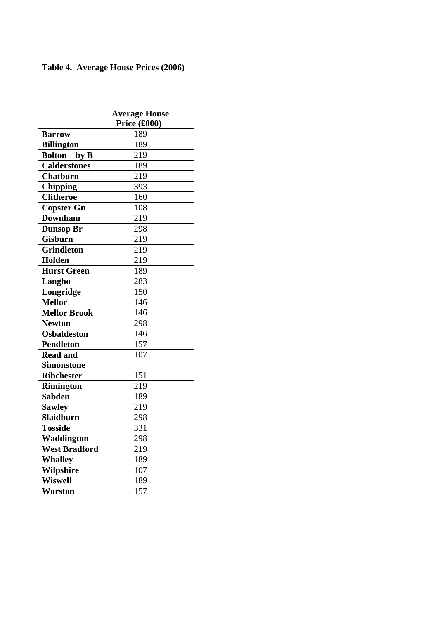# **Table 4. Average House Prices (2006)**

|                      | <b>Average House</b><br>Price (£000) |
|----------------------|--------------------------------------|
| <b>Barrow</b>        | 189                                  |
| <b>Billington</b>    | 189                                  |
| <b>Bolton – by B</b> | 219                                  |
| <b>Calderstones</b>  | 189                                  |
| <b>Chatburn</b>      | 219                                  |
| <b>Chipping</b>      | 393                                  |
| <b>Clitheroe</b>     | 160                                  |
| <b>Copster Gn</b>    | 108                                  |
| <b>Downham</b>       | 219                                  |
| <b>Dunsop Br</b>     | 298                                  |
| <b>Gisburn</b>       | 219                                  |
| <b>Grindleton</b>    | 219                                  |
| <b>Holden</b>        | 219                                  |
| <b>Hurst Green</b>   | 189                                  |
| Langho               | 283                                  |
| Longridge            | 150                                  |
| <b>Mellor</b>        | 146                                  |
| <b>Mellor Brook</b>  | 146                                  |
| <b>Newton</b>        | 298                                  |
| <b>Osbaldeston</b>   | 146                                  |
| <b>Pendleton</b>     | 157                                  |
| <b>Read and</b>      | 107                                  |
| Simonstone           |                                      |
| <b>Ribchester</b>    | 151                                  |
| <b>Rimington</b>     | 219                                  |
| <b>Sabden</b>        | 189                                  |
| <b>Sawley</b>        | 219                                  |
| <b>Slaidburn</b>     | 298                                  |
| <b>Tosside</b>       | 331                                  |
| Waddington           | 298                                  |
| <b>West Bradford</b> | 219                                  |
| <b>Whalley</b>       | 189                                  |
| <b>Wilpshire</b>     | 107                                  |
| <b>Wiswell</b>       | 189                                  |
| Worston              | 157                                  |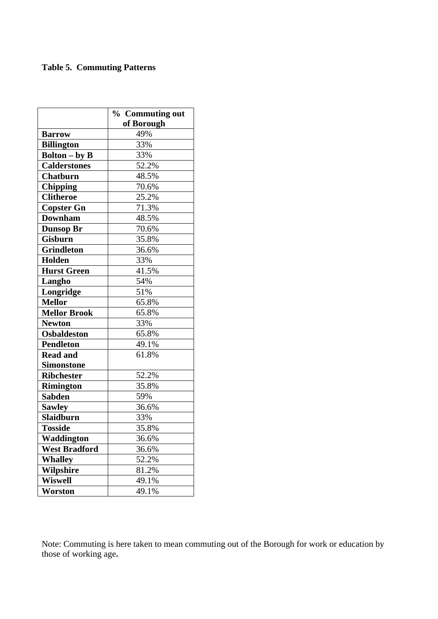# **Table 5. Commuting Patterns**

|                                | % Commuting out |
|--------------------------------|-----------------|
|                                | of Borough      |
| <b>Barrow</b>                  | 49%             |
| <b>Billington</b>              | 33%             |
| $\text{Bolton} - \text{by } B$ | 33%             |
| <b>Calderstones</b>            | 52.2%           |
| <b>Chatburn</b>                | 48.5%           |
| <b>Chipping</b>                | 70.6%           |
| <b>Clitheroe</b>               | 25.2%           |
| <b>Copster Gn</b>              | 71.3%           |
| <b>Downham</b>                 | 48.5%           |
| <b>Dunsop Br</b>               | 70.6%           |
| <b>Gisburn</b>                 | 35.8%           |
| <b>Grindleton</b>              | 36.6%           |
| Holden                         | 33%             |
| <b>Hurst Green</b>             | 41.5%           |
| Langho                         | 54%             |
| Longridge                      | 51%             |
| <b>Mellor</b>                  | 65.8%           |
| <b>Mellor Brook</b>            | 65.8%           |
| <b>Newton</b>                  | 33%             |
| <b>Osbaldeston</b>             | 65.8%           |
| <b>Pendleton</b>               | 49.1%           |
| <b>Read and</b>                | 61.8%           |
| <b>Simonstone</b>              |                 |
| <b>Ribchester</b>              | 52.2%           |
| <b>Rimington</b>               | 35.8%           |
| <b>Sabden</b>                  | 59%             |
| <b>Sawley</b>                  | 36.6%           |
| <b>Slaidburn</b>               | 33%             |
| <b>Tosside</b>                 | 35.8%           |
| Waddington                     | 36.6%           |
| <b>West Bradford</b>           | 36.6%           |
| <b>Whalley</b>                 | 52.2%           |
| Wilpshire                      | 81.2%           |
| <b>Wiswell</b>                 | 49.1%           |
| Worston                        | 49.1%           |

Note: Commuting is here taken to mean commuting out of the Borough for work or education by those of working age**.**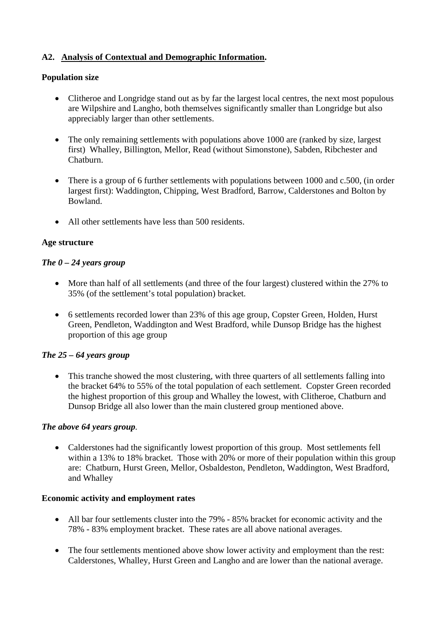# **A2. Analysis of Contextual and Demographic Information.**

### **Population size**

- Clitheroe and Longridge stand out as by far the largest local centres, the next most populous are Wilpshire and Langho, both themselves significantly smaller than Longridge but also appreciably larger than other settlements.
- The only remaining settlements with populations above 1000 are (ranked by size, largest first) Whalley, Billington, Mellor, Read (without Simonstone), Sabden, Ribchester and Chatburn.
- There is a group of 6 further settlements with populations between 1000 and c.500, (in order largest first): Waddington, Chipping, West Bradford, Barrow, Calderstones and Bolton by Bowland.
- All other settlements have less than 500 residents.

### **Age structure**

### *The 0 – 24 years group*

- More than half of all settlements (and three of the four largest) clustered within the 27% to 35% (of the settlement's total population) bracket.
- 6 settlements recorded lower than 23% of this age group, Copster Green, Holden, Hurst Green, Pendleton, Waddington and West Bradford, while Dunsop Bridge has the highest proportion of this age group

# *The 25 – 64 years group*

• This tranche showed the most clustering, with three quarters of all settlements falling into the bracket 64% to 55% of the total population of each settlement. Copster Green recorded the highest proportion of this group and Whalley the lowest, with Clitheroe, Chatburn and Dunsop Bridge all also lower than the main clustered group mentioned above.

#### *The above 64 years group.*

• Calderstones had the significantly lowest proportion of this group. Most settlements fell within a 13% to 18% bracket. Those with 20% or more of their population within this group are: Chatburn, Hurst Green, Mellor, Osbaldeston, Pendleton, Waddington, West Bradford, and Whalley

#### **Economic activity and employment rates**

- All bar four settlements cluster into the 79% 85% bracket for economic activity and the 78% - 83% employment bracket. These rates are all above national averages.
- The four settlements mentioned above show lower activity and employment than the rest: Calderstones, Whalley, Hurst Green and Langho and are lower than the national average.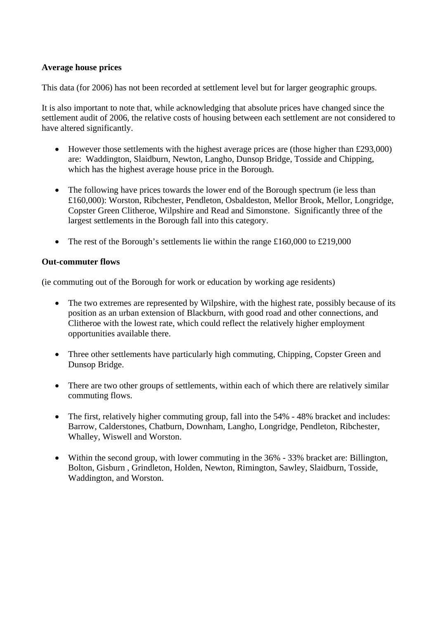# **Average house prices**

This data (for 2006) has not been recorded at settlement level but for larger geographic groups.

It is also important to note that, while acknowledging that absolute prices have changed since the settlement audit of 2006, the relative costs of housing between each settlement are not considered to have altered significantly.

- However those settlements with the highest average prices are (those higher than £293,000) are: Waddington, Slaidburn, Newton, Langho, Dunsop Bridge, Tosside and Chipping, which has the highest average house price in the Borough.
- The following have prices towards the lower end of the Borough spectrum (ie less than £160,000): Worston, Ribchester, Pendleton, Osbaldeston, Mellor Brook, Mellor, Longridge, Copster Green Clitheroe, Wilpshire and Read and Simonstone. Significantly three of the largest settlements in the Borough fall into this category.
- The rest of the Borough's settlements lie within the range  $\text{\pounds}160,000$  to  $\text{\pounds}219,000$

#### **Out-commuter flows**

(ie commuting out of the Borough for work or education by working age residents)

- The two extremes are represented by Wilpshire, with the highest rate, possibly because of its position as an urban extension of Blackburn, with good road and other connections, and Clitheroe with the lowest rate, which could reflect the relatively higher employment opportunities available there.
- Three other settlements have particularly high commuting, Chipping, Copster Green and Dunsop Bridge.
- There are two other groups of settlements, within each of which there are relatively similar commuting flows.
- The first, relatively higher commuting group, fall into the 54% 48% bracket and includes: Barrow, Calderstones, Chatburn, Downham, Langho, Longridge, Pendleton, Ribchester, Whalley, Wiswell and Worston.
- Within the second group, with lower commuting in the 36% 33% bracket are: Billington, Bolton, Gisburn , Grindleton, Holden, Newton, Rimington, Sawley, Slaidburn, Tosside, Waddington, and Worston.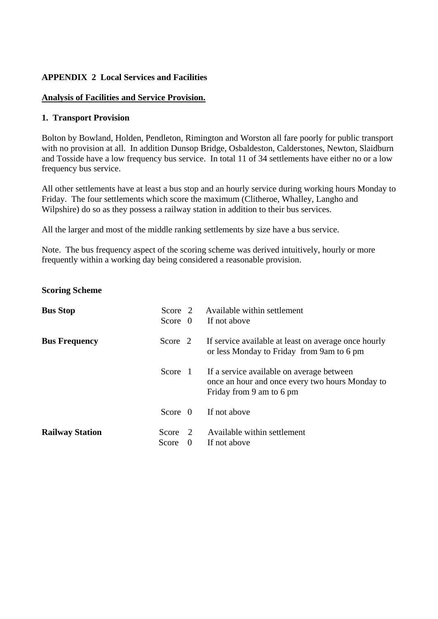# **APPENDIX 2 Local Services and Facilities**

# **Analysis of Facilities and Service Provision.**

### **1. Transport Provision**

Bolton by Bowland, Holden, Pendleton, Rimington and Worston all fare poorly for public transport with no provision at all. In addition Dunsop Bridge, Osbaldeston, Calderstones, Newton, Slaidburn and Tosside have a low frequency bus service. In total 11 of 34 settlements have either no or a low frequency bus service.

All other settlements have at least a bus stop and an hourly service during working hours Monday to Friday. The four settlements which score the maximum (Clitheroe, Whalley, Langho and Wilpshire) do so as they possess a railway station in addition to their bus services.

All the larger and most of the middle ranking settlements by size have a bus service.

Note. The bus frequency aspect of the scoring scheme was derived intuitively, hourly or more frequently within a working day being considered a reasonable provision.

#### **Scoring Scheme**

| <b>Bus Stop</b>        | Score 2   |                | Available within settlement                                                                                              |
|------------------------|-----------|----------------|--------------------------------------------------------------------------------------------------------------------------|
|                        | Score $0$ |                | If not above                                                                                                             |
| <b>Bus Frequency</b>   | Score 2   |                | If service available at least on average once hourly<br>or less Monday to Friday from 9am to 6 pm                        |
|                        | Score 1   |                | If a service available on average between<br>once an hour and once every two hours Monday to<br>Friday from 9 am to 6 pm |
|                        | Score $0$ |                | If not above                                                                                                             |
| <b>Railway Station</b> | Score     | $\overline{2}$ | Available within settlement                                                                                              |
|                        | Score     | $\theta$       | If not above                                                                                                             |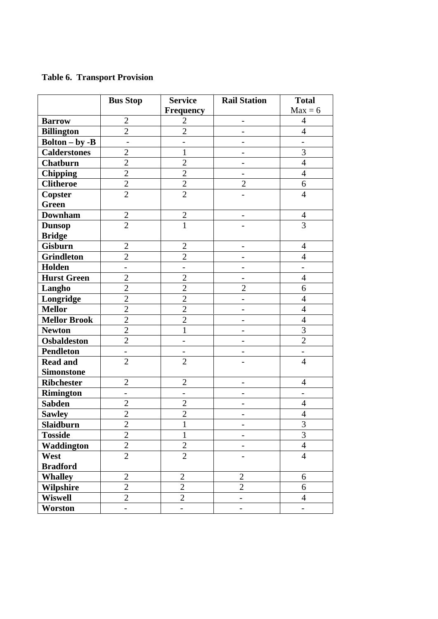# **Table 6. Transport Provision**

|                                        | <b>Bus Stop</b>              | <b>Service</b>           | <b>Rail Station</b>      | <b>Total</b>             |
|----------------------------------------|------------------------------|--------------------------|--------------------------|--------------------------|
|                                        |                              | <b>Frequency</b>         |                          | $Max = 6$                |
| <b>Barrow</b>                          | $\mathbf{2}$                 | $\overline{2}$           | $\overline{\phantom{0}}$ | $\overline{4}$           |
| <b>Billington</b>                      | $\overline{2}$               | $\overline{2}$           |                          | $\overline{4}$           |
| $\text{Bolton} - \text{by } -\text{B}$ | $\overline{a}$               | $\overline{a}$           |                          | $\overline{a}$           |
| <b>Calderstones</b>                    | $\overline{2}$               | $\mathbf{1}$             |                          | $\overline{3}$           |
| <b>Chatburn</b>                        | $\overline{2}$               | $\overline{2}$           |                          | $\overline{4}$           |
| <b>Chipping</b>                        | $\mathbf{2}$                 | $\overline{2}$           |                          | $\overline{4}$           |
| <b>Clitheroe</b>                       | $\overline{c}$               | $\overline{2}$           | $\overline{2}$           | 6                        |
| Copster                                | $\overline{2}$               | $\overline{2}$           |                          | $\overline{4}$           |
| <b>Green</b>                           |                              |                          |                          |                          |
| <b>Downham</b>                         | $\overline{2}$               | $\overline{2}$           |                          | $\overline{4}$           |
| <b>Dunsop</b>                          | $\overline{2}$               | 1                        |                          | $\overline{3}$           |
| <b>Bridge</b>                          |                              |                          |                          |                          |
| <b>Gisburn</b>                         | $\overline{c}$               | $\overline{2}$           |                          | $\overline{4}$           |
| <b>Grindleton</b>                      | $\overline{c}$               | $\overline{2}$           |                          | $\overline{4}$           |
| Holden                                 | $\overline{\phantom{a}}$     | $\overline{\phantom{a}}$ |                          | $\overline{\phantom{0}}$ |
| <b>Hurst Green</b>                     | $\overline{2}$               | $\overline{2}$           |                          | $\overline{4}$           |
| Langho                                 | $\overline{2}$               | $\overline{2}$           | $\overline{2}$           | 6                        |
| Longridge                              | $\overline{2}$               | $\overline{2}$           |                          | $\overline{4}$           |
| <b>Mellor</b>                          | $\overline{2}$               | $\overline{2}$           |                          | $\overline{4}$           |
| <b>Mellor Brook</b>                    | $\overline{2}$               | $\overline{2}$           |                          | $\overline{4}$           |
| <b>Newton</b>                          | $\overline{2}$               | 1                        |                          | $\overline{3}$           |
| <b>Osbaldeston</b>                     | $\overline{2}$               |                          |                          | $\overline{2}$           |
| <b>Pendleton</b>                       | $\qquad \qquad \blacksquare$ | $\overline{\phantom{a}}$ |                          | $\overline{\phantom{a}}$ |
| <b>Read and</b>                        | $\overline{2}$               | $\overline{2}$           |                          | $\overline{4}$           |
| <b>Simonstone</b>                      |                              |                          |                          |                          |
| <b>Ribchester</b>                      | $\overline{c}$               | $\overline{2}$           |                          | $\overline{4}$           |
| Rimington                              | $\qquad \qquad -$            | -                        |                          | -                        |
| <b>Sabden</b>                          | $\overline{2}$               | $\overline{2}$           | $\overline{\phantom{0}}$ | $\overline{4}$           |
| <b>Sawley</b>                          | $\overline{2}$               | $\overline{2}$           |                          | $\overline{4}$           |
| Slaidburn                              | $\overline{2}$               | $\mathbf{1}$             |                          | 3                        |
| <b>Tosside</b>                         | $\overline{2}$               | $\mathbf{1}$             |                          | $\overline{3}$           |
| Waddington                             | $\overline{2}$               | $\overline{2}$           |                          | $\overline{4}$           |
| West                                   | $\overline{2}$               | $\overline{2}$           |                          | $\overline{4}$           |
| <b>Bradford</b>                        |                              |                          |                          |                          |
| <b>Whalley</b>                         | $\overline{2}$               | $\overline{2}$           | $\overline{2}$           | 6                        |
| Wilpshire                              | $\overline{2}$               | $\overline{2}$           | $\overline{2}$           | 6                        |
| <b>Wiswell</b>                         | $\overline{2}$               | $\overline{2}$           | $\overline{\phantom{0}}$ | $\overline{4}$           |
| Worston                                | $\overline{\phantom{0}}$     | $\overline{\phantom{0}}$ | $\overline{\phantom{0}}$ | $\overline{\phantom{0}}$ |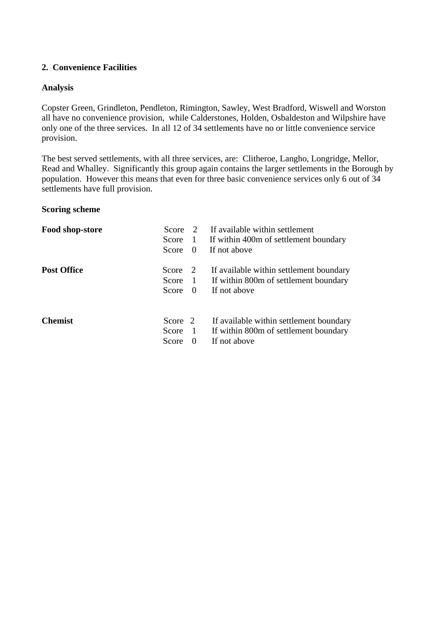# **2. Convenience Facilities**

### **Analysis**

Copster Green, Grindleton, Pendleton, Rimington, Sawley, West Bradford, Wiswell and Worston all have no convenience provision, while Calderstones, Holden, Osbaldeston and Wilpshire have only one of the three services. In all 12 of 34 settlements have no or little convenience service provision.

The best served settlements, with all three services, are: Clitheroe, Langho, Longridge, Mellor, Read and Whalley. Significantly this group again contains the larger settlements in the Borough by population. However this means that even for three basic convenience services only 6 out of 34 settlements have full provision.

#### **Scoring scheme**

| Food shop-store    | Score   |                                       | If available within settlement          |
|--------------------|---------|---------------------------------------|-----------------------------------------|
|                    | Score   | $\begin{array}{c} \hline \end{array}$ | If within 400m of settlement boundary   |
|                    | Score   | 0                                     | If not above                            |
| <b>Post Office</b> | Score   | $\overline{2}$                        | If available within settlement boundary |
|                    | Score   | $\mathbf{1}$                          | If within 800m of settlement boundary   |
|                    | Score   | - 0                                   | If not above                            |
| <b>Chemist</b>     | Score 2 |                                       | If available within settlement boundary |
|                    | Score   | $\mathbf{1}$                          | If within 800m of settlement boundary   |
|                    | Score   | $\theta$                              | If not above                            |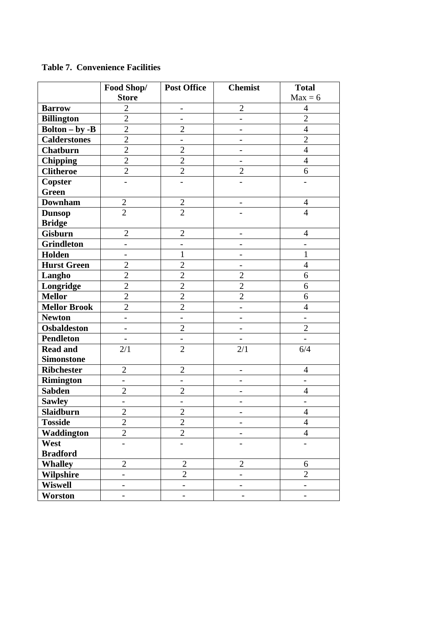|                     | Food Shop/               | <b>Post Office</b>       | <b>Chemist</b>           | <b>Total</b>             |
|---------------------|--------------------------|--------------------------|--------------------------|--------------------------|
|                     | <b>Store</b>             |                          |                          | $Max = 6$                |
| <b>Barrow</b>       | $\overline{2}$           | $\overline{\phantom{0}}$ | $\overline{2}$           | $\overline{4}$           |
| <b>Billington</b>   | $\overline{2}$           | -                        | $\overline{\phantom{0}}$ | $\overline{2}$           |
| $Bolton - by -B$    | $\overline{2}$           | $\overline{2}$           | $\overline{a}$           | $\overline{4}$           |
| <b>Calderstones</b> | $\overline{2}$           | $\overline{\phantom{0}}$ | $\overline{\phantom{0}}$ | $\overline{2}$           |
| <b>Chatburn</b>     | $\overline{2}$           | $\overline{2}$           |                          | $\overline{4}$           |
| <b>Chipping</b>     | $\overline{2}$           | $\overline{2}$           | $\overline{a}$           | $\overline{4}$           |
| <b>Clitheroe</b>    | $\overline{2}$           | $\overline{2}$           | $\overline{2}$           | 6                        |
| <b>Copster</b>      |                          |                          |                          |                          |
| <b>Green</b>        |                          |                          |                          |                          |
| <b>Downham</b>      | $\mathbf{2}$             | $\overline{2}$           | -                        | 4                        |
| <b>Dunsop</b>       | $\overline{2}$           | $\overline{2}$           |                          | $\overline{4}$           |
| <b>Bridge</b>       |                          |                          |                          |                          |
| <b>Gisburn</b>      | $\overline{2}$           | $\overline{2}$           |                          | $\overline{4}$           |
| <b>Grindleton</b>   |                          | $\overline{a}$           | -                        | $\overline{\phantom{0}}$ |
| Holden              | $\qquad \qquad -$        | $\mathbf{1}$             | $\qquad \qquad -$        | $\mathbf{1}$             |
| <b>Hurst Green</b>  | $\overline{2}$           | $\overline{2}$           |                          | $\overline{4}$           |
| Langho              | $\overline{2}$           | $\overline{2}$           | $\overline{2}$           | 6                        |
| Longridge           | $\overline{2}$           | $\overline{2}$           | $\overline{2}$           | 6                        |
| <b>Mellor</b>       | $\overline{2}$           | $\overline{2}$           | $\overline{2}$           | 6                        |
| <b>Mellor Brook</b> | $\overline{2}$           | $\overline{2}$           | $\qquad \qquad -$        | $\overline{4}$           |
| <b>Newton</b>       |                          |                          |                          | $\overline{\phantom{0}}$ |
| <b>Osbaldeston</b>  | $\overline{\phantom{0}}$ | $\overline{2}$           | $\overline{\phantom{a}}$ | $\overline{2}$           |
| <b>Pendleton</b>    |                          | $\overline{\phantom{0}}$ |                          |                          |
| <b>Read and</b>     | 2/1                      | $\overline{2}$           | 2/1                      | 6/4                      |
| <b>Simonstone</b>   |                          |                          |                          |                          |
| <b>Ribchester</b>   | $\overline{2}$           | $\mathfrak{2}$           | $\qquad \qquad -$        | 4                        |
| <b>Rimington</b>    | $\overline{\phantom{0}}$ | $\overline{\phantom{0}}$ | -                        | $\overline{a}$           |
| <b>Sabden</b>       | $\overline{2}$           | $\overline{c}$           | -                        | $\overline{4}$           |
| <b>Sawley</b>       | $\overline{\phantom{0}}$ |                          |                          |                          |
| Slaidburn           | $\boldsymbol{2}$         | $\boldsymbol{2}$         | $\overline{a}$           | $\overline{4}$           |
| <b>Tosside</b>      | $\overline{2}$           | $\overline{2}$           | $\overline{\phantom{a}}$ | $\overline{4}$           |
| Waddington          | $\overline{2}$           | $\overline{2}$           | $\overline{\phantom{0}}$ | $\overline{4}$           |
| West                |                          |                          |                          |                          |
| <b>Bradford</b>     |                          |                          |                          |                          |
| <b>Whalley</b>      | $\overline{2}$           | $\overline{2}$           | $\overline{2}$           | 6                        |
| Wilpshire           | $\overline{\phantom{0}}$ | $\sqrt{2}$               | $\qquad \qquad -$        | $\overline{2}$           |
| <b>Wiswell</b>      | $\overline{\phantom{0}}$ | $\overline{\phantom{a}}$ |                          | $\overline{\phantom{a}}$ |
| Worston             | $\overline{\phantom{0}}$ | $\overline{\phantom{0}}$ | $\qquad \qquad -$        | $\overline{\phantom{a}}$ |

# **Table 7. Convenience Facilities**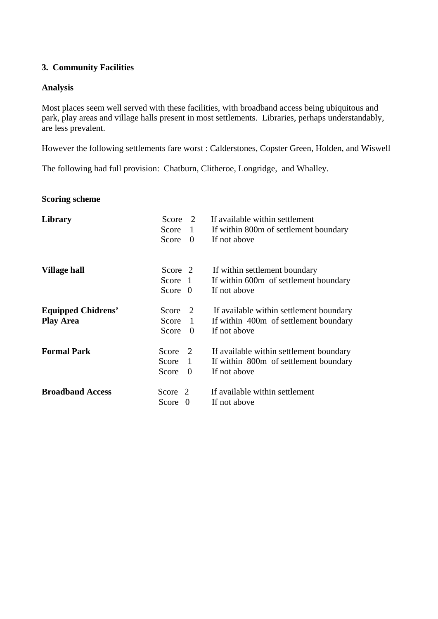# **3. Community Facilities**

### **Analysis**

Most places seem well served with these facilities, with broadband access being ubiquitous and park, play areas and village halls present in most settlements. Libraries, perhaps understandably, are less prevalent.

However the following settlements fare worst : Calderstones, Copster Green, Holden, and Wiswell

The following had full provision: Chatburn, Clitheroe, Longridge, and Whalley.

### **Scoring scheme**

| Library                   | Score     | 2              | If available within settlement          |
|---------------------------|-----------|----------------|-----------------------------------------|
|                           | Score     | $\mathbf{1}$   | If within 800m of settlement boundary   |
|                           | Score     | $\Omega$       | If not above                            |
| Village hall              | Score 2   |                | If within settlement boundary           |
|                           | Score 1   |                | If within 600m of settlement boundary   |
|                           | Score $0$ |                | If not above                            |
| <b>Equipped Chidrens'</b> | Score     | 2              | If available within settlement boundary |
| <b>Play Area</b>          | Score     | $\overline{1}$ | If within 400m of settlement boundary   |
|                           | Score     | $\Omega$       | If not above                            |
| <b>Formal Park</b>        | Score     | 2              | If available within settlement boundary |
|                           | Score     | 1              | If within 800m of settlement boundary   |
|                           | Score     | $\theta$       | If not above                            |
| <b>Broadband Access</b>   | Score 2   |                | If available within settlement          |
|                           | Score     | $\Omega$       | If not above                            |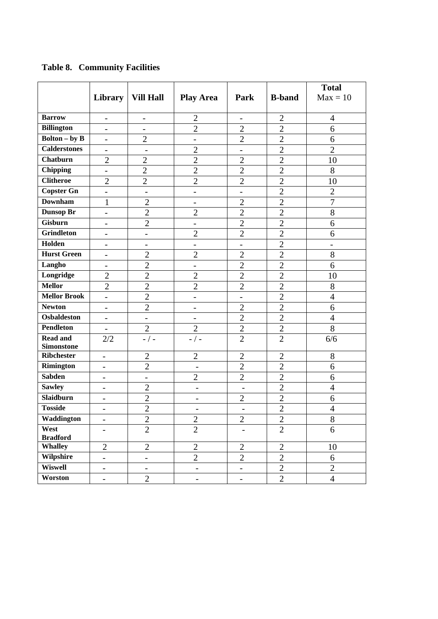|                             |                          |                          |                          |                          |                | <b>Total</b>   |
|-----------------------------|--------------------------|--------------------------|--------------------------|--------------------------|----------------|----------------|
|                             | Library                  | <b>Vill Hall</b>         | <b>Play Area</b>         | Park                     | <b>B-band</b>  | $Max = 10$     |
|                             |                          |                          |                          |                          |                |                |
| <b>Barrow</b>               | $\overline{\phantom{a}}$ | $\overline{\phantom{a}}$ | $\overline{2}$           | $\overline{a}$           | $\overline{2}$ | $\overline{4}$ |
| <b>Billington</b>           | $\overline{a}$           | $\overline{\phantom{0}}$ | $\overline{2}$           | $\overline{2}$           | $\overline{2}$ | 6              |
| <b>Bolton</b> – by <b>B</b> | $\overline{\phantom{a}}$ | $\overline{2}$           | -                        | $\overline{2}$           | $\overline{2}$ | 6              |
| <b>Calderstones</b>         | $\overline{\phantom{0}}$ | $\overline{\phantom{a}}$ | $\overline{2}$           | $\overline{\phantom{0}}$ | $\overline{2}$ | $\overline{2}$ |
| <b>Chatburn</b>             | $\overline{2}$           | $\overline{2}$           | $\overline{2}$           | $\overline{2}$           | $\overline{2}$ | 10             |
| <b>Chipping</b>             | $\overline{\phantom{0}}$ | $\overline{2}$           | $\overline{2}$           | $\overline{2}$           | $\overline{2}$ | 8              |
| <b>Clitheroe</b>            | $\overline{2}$           | $\overline{2}$           | $\overline{2}$           | $\overline{2}$           | $\overline{2}$ | 10             |
| <b>Copster Gn</b>           | $\overline{\phantom{0}}$ | $\overline{\phantom{a}}$ | -                        | $\overline{\phantom{a}}$ | $\overline{2}$ | $\overline{2}$ |
| <b>Downham</b>              | $\mathbf{1}$             | $\overline{2}$           | Ξ.                       | $\overline{2}$           | $\overline{2}$ | $\overline{7}$ |
| Dunsop Br                   | $\overline{a}$           | $\overline{2}$           | $\overline{2}$           | $\overline{2}$           | $\overline{2}$ | 8              |
| <b>Gisburn</b>              | $\overline{\phantom{0}}$ | $\overline{2}$           | $\overline{\phantom{0}}$ | $\overline{2}$           | $\overline{2}$ | 6              |
| <b>Grindleton</b>           | $\overline{\phantom{0}}$ | $\overline{\phantom{0}}$ | $\overline{2}$           | $\overline{2}$           | $\overline{2}$ | 6              |
| Holden                      | $\overline{\phantom{0}}$ | $\overline{\phantom{a}}$ | $\overline{\phantom{0}}$ | $\overline{\phantom{0}}$ | $\overline{2}$ | -              |
| <b>Hurst Green</b>          | $\overline{\phantom{0}}$ | $\overline{2}$           | $\overline{2}$           | $\overline{2}$           | $\overline{2}$ | 8              |
| Langho                      | $\overline{\phantom{0}}$ | $\overline{2}$           | Ξ.                       | $\overline{2}$           | $\overline{2}$ | 6              |
| Longridge                   | $\overline{2}$           | $\overline{2}$           | $\overline{2}$           | $\overline{2}$           | $\overline{2}$ | 10             |
| <b>Mellor</b>               | $\overline{2}$           | $\overline{2}$           | $\overline{2}$           | $\overline{2}$           | $\overline{2}$ | 8              |
| <b>Mellor Brook</b>         | $\overline{a}$           | $\overline{2}$           | $\overline{\phantom{0}}$ | $\overline{\phantom{0}}$ | $\overline{2}$ | $\overline{4}$ |
| <b>Newton</b>               | $\overline{\phantom{0}}$ | $\overline{2}$           | Ξ.                       | $\overline{2}$           | $\overline{2}$ | 6              |
| <b>Osbaldeston</b>          | $\overline{\phantom{a}}$ | $\overline{\phantom{a}}$ | $\overline{\phantom{0}}$ | $\overline{2}$           | $\mathbf{2}$   | $\overline{4}$ |
| <b>Pendleton</b>            | $\overline{\phantom{a}}$ | $\overline{2}$           | $\overline{2}$           | $\overline{2}$           | $\overline{2}$ | 8              |
| <b>Read and</b>             | 2/2                      | $-$ / $-$                | $-$ / $-$                | $\overline{2}$           | $\overline{2}$ | 6/6            |
| <b>Simonstone</b>           |                          |                          |                          |                          |                |                |
| <b>Ribchester</b>           | $\overline{\phantom{a}}$ | $\overline{2}$           | $\overline{2}$           | $\overline{2}$           | $\overline{2}$ | 8              |
| Rimington                   | $\overline{\phantom{0}}$ | $\overline{2}$           | $\overline{\phantom{0}}$ | $\overline{2}$           | $\overline{2}$ | 6              |
| <b>Sabden</b>               | $\overline{\phantom{a}}$ | $\overline{\phantom{a}}$ | $\overline{2}$           | $\overline{2}$           | $\overline{2}$ | 6              |
| <b>Sawley</b>               | $\overline{\phantom{0}}$ | $\overline{2}$           | $\qquad \qquad -$        | $\overline{a}$           | $\overline{2}$ | $\overline{4}$ |
| <b>Slaidburn</b>            | $\overline{\phantom{0}}$ | $\overline{2}$           | $\overline{\phantom{0}}$ | $\overline{2}$           | $\overline{2}$ | 6              |
| <b>Tosside</b>              |                          | $\overline{2}$           |                          |                          | $\overline{c}$ | $\overline{4}$ |
| Waddington                  | $\overline{\phantom{0}}$ | $\mathbf{2}$             | $\overline{2}$           | $\mathbf{2}$             | $\mathbf{2}$   | 8              |
| West<br><b>Bradford</b>     | $\overline{\phantom{0}}$ | $\overline{2}$           | $\overline{2}$           | $\overline{\phantom{0}}$ | $\overline{2}$ | 6              |
| <b>Whalley</b>              | $\overline{2}$           | $\overline{2}$           | $\overline{2}$           | $\overline{2}$           | $\overline{2}$ | 10             |
| <b>Wilpshire</b>            | $\overline{\phantom{0}}$ | $\overline{\phantom{0}}$ | $\overline{2}$           | $\overline{2}$           | $\overline{2}$ | 6              |
| <b>Wiswell</b>              | $\overline{\phantom{0}}$ | $\overline{\phantom{0}}$ | $\overline{\phantom{0}}$ | $\overline{\phantom{0}}$ | $\overline{2}$ | $\overline{2}$ |
| Worston                     | $\overline{\phantom{0}}$ | $\overline{2}$           | $\overline{\phantom{0}}$ | $\qquad \qquad -$        | $\mathbf{2}$   | $\overline{4}$ |

**Table 8. Community Facilities**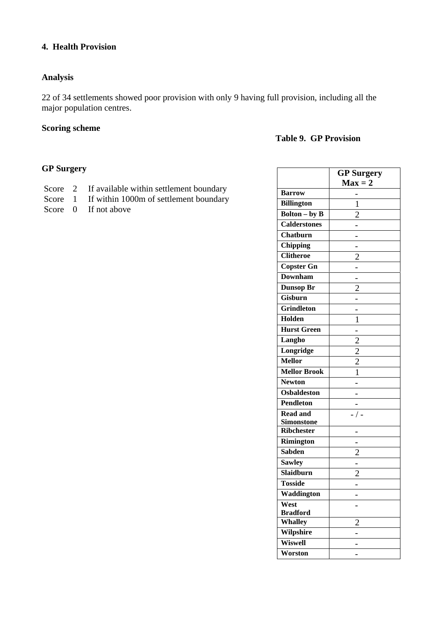# **4. Health Provision**

# **Analysis**

22 of 34 settlements showed poor provision with only 9 having full provision, including all the major population centres.

# **Scoring scheme**

# **Table 9. GP Provision**

# **GP Surgery**

| Score 2 | If available within settlement boundary |
|---------|-----------------------------------------|
| Score 1 | If within 1000m of settlement boundary  |

Score 0 If not above

|                             | <b>GP</b> Surgery |
|-----------------------------|-------------------|
|                             | $Max = 2$         |
| <b>Barrow</b>               |                   |
| <b>Billington</b>           | 1                 |
| <b>Bolton</b> – by <b>B</b> | $\overline{2}$    |
| <b>Calderstones</b>         |                   |
| Chatburn                    |                   |
| Chipping                    |                   |
| <b>Clitheroe</b>            | $\overline{2}$    |
| <b>Copster Gn</b>           |                   |
| <b>Downham</b>              |                   |
| <b>Dunsop Br</b>            | $\overline{2}$    |
| <b>Gisburn</b>              |                   |
| <b>Grindleton</b>           |                   |
| Holden                      | 1                 |
| <b>Hurst Green</b>          |                   |
| Langho                      |                   |
| Longridge                   | $\frac{2}{2}$     |
| <b>Mellor</b>               |                   |
| Mellor Brook                | $\mathbf{1}$      |
| <b>Newton</b>               |                   |
| <b>Osbaldeston</b>          |                   |
| <b>Pendleton</b>            |                   |
| <b>Read and</b>             |                   |
| <b>Simonstone</b>           |                   |
| <b>Ribchester</b>           |                   |
| <b>Rimington</b>            |                   |
| <b>Sabden</b>               | $\overline{c}$    |
| <b>Sawley</b>               |                   |
| Slaidburn                   | $\overline{2}$    |
| <b>Tosside</b>              |                   |
| Waddington                  |                   |
| West                        |                   |
| <b>Bradford</b>             |                   |
| Whalley                     | $\overline{2}$    |
| Wilpshire                   |                   |
| Wiswell                     |                   |
| Worston                     |                   |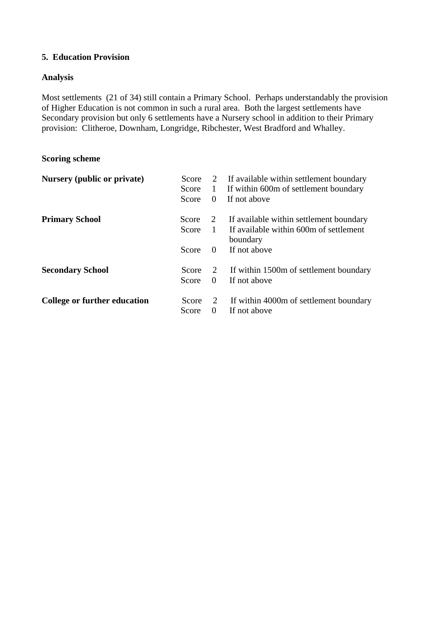# **5. Education Provision**

# **Analysis**

Most settlements (21 of 34) still contain a Primary School. Perhaps understandably the provision of Higher Education is not common in such a rural area. Both the largest settlements have Secondary provision but only 6 settlements have a Nursery school in addition to their Primary provision: Clitheroe, Downham, Longridge, Ribchester, West Bradford and Whalley.

# **Scoring scheme**

| Nursery (public or private)  | Score |          | 2 If available within settlement boundary          |
|------------------------------|-------|----------|----------------------------------------------------|
|                              | Score | 1        | If within 600m of settlement boundary              |
|                              | Score | $\theta$ | If not above                                       |
| <b>Primary School</b>        | Score | 2        | If available within settlement boundary            |
|                              | Score | 1        | If available within 600m of settlement<br>boundary |
|                              | Score | $\theta$ | If not above                                       |
| <b>Secondary School</b>      | Score | 2        | If within 1500m of settlement boundary             |
|                              | Score | $\theta$ | If not above                                       |
| College or further education | Score |          | If within 4000m of settlement boundary             |
|                              | Score | $\Omega$ | If not above                                       |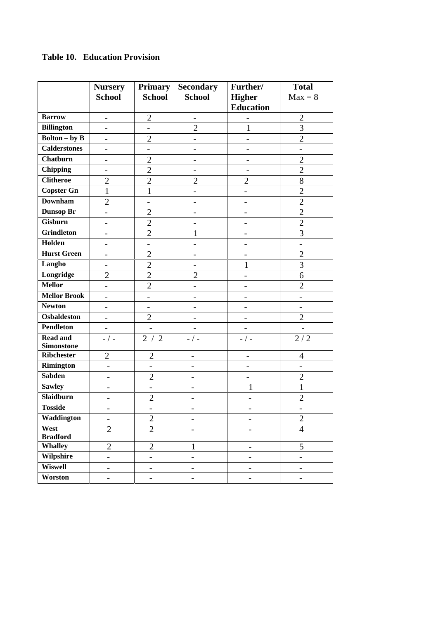# **Table 10. Education Provision**

|                                      | <b>Nursery</b><br><b>School</b> | <b>Primary</b><br><b>School</b> | <b>Secondary</b><br><b>School</b> | Further/<br><b>Higher</b><br><b>Education</b> | <b>Total</b><br>$Max = 8$ |
|--------------------------------------|---------------------------------|---------------------------------|-----------------------------------|-----------------------------------------------|---------------------------|
| <b>Barrow</b>                        | $\overline{\phantom{0}}$        | $\overline{2}$                  | $\overline{\phantom{a}}$          |                                               | $\overline{2}$            |
| <b>Billington</b>                    | $\overline{a}$                  | $\overline{a}$                  | $\overline{2}$                    | $\mathbf{1}$                                  | 3                         |
| <b>Bolton</b> – by <b>B</b>          | $\overline{\phantom{0}}$        | $\overline{2}$                  | $\overline{a}$                    | $\overline{\phantom{a}}$                      | $\overline{2}$            |
| <b>Calderstones</b>                  | $\overline{a}$                  | -                               |                                   | $\overline{\phantom{a}}$                      |                           |
| Chatburn                             | $\overline{\phantom{0}}$        | $\overline{c}$                  | $\qquad \qquad -$                 | $\qquad \qquad -$                             | $\overline{2}$            |
| <b>Chipping</b>                      |                                 | $\overline{2}$                  |                                   |                                               | $\overline{2}$            |
| <b>Clitheroe</b>                     | $\overline{2}$                  | $\overline{2}$                  | $\overline{2}$                    | $\overline{2}$                                | 8                         |
| <b>Copster Gn</b>                    | $\mathbf{1}$                    | $\mathbf{1}$                    | $\overline{\phantom{a}}$          | $\overline{\phantom{a}}$                      | $\overline{2}$            |
| <b>Downham</b>                       | $\overline{2}$                  | $\overline{a}$                  |                                   |                                               | $\overline{2}$            |
| <b>Dunsop Br</b>                     | $\overline{a}$                  | $\overline{2}$                  | $\qquad \qquad -$                 | $\overline{\phantom{0}}$                      | $\overline{2}$            |
| Gisburn                              | $\overline{a}$                  | $\overline{2}$                  |                                   |                                               | $\overline{2}$            |
| <b>Grindleton</b>                    | $\overline{\phantom{0}}$        | $\overline{2}$                  | $\mathbf{1}$                      | $\overline{\phantom{0}}$                      | $\overline{3}$            |
| Holden                               | $\overline{a}$                  | $\overline{a}$                  | $\overline{a}$                    |                                               | $\overline{\phantom{0}}$  |
| <b>Hurst Green</b>                   | $\overline{a}$                  | $\overline{2}$                  | $\overline{\phantom{0}}$          |                                               | $\overline{2}$            |
| Langho                               | $\overline{a}$                  | $\overline{c}$                  |                                   | 1                                             | 3                         |
| Longridge                            | $\overline{2}$                  | $\overline{2}$                  | $\overline{2}$                    |                                               | 6                         |
| <b>Mellor</b>                        |                                 | $\overline{2}$                  | $\overline{\phantom{0}}$          |                                               | $\overline{2}$            |
| <b>Mellor Brook</b>                  | $\overline{a}$                  | $\overline{a}$                  | $\qquad \qquad -$                 |                                               |                           |
| <b>Newton</b>                        | $\overline{a}$                  |                                 |                                   |                                               |                           |
| <b>Osbaldeston</b>                   | $\overline{\phantom{0}}$        | $\overline{2}$                  |                                   | $\overline{\phantom{a}}$                      | $\overline{2}$            |
| <b>Pendleton</b>                     | $\overline{\phantom{0}}$        | $\qquad \qquad \blacksquare$    |                                   |                                               |                           |
| <b>Read and</b><br><b>Simonstone</b> | - / -                           | 2/2                             | $-$ / $-$                         | - / -                                         | 2/2                       |
| <b>Ribchester</b>                    | $\overline{2}$                  | $\overline{2}$                  | $\overline{\phantom{0}}$          | $\overline{\phantom{0}}$                      | $\overline{4}$            |
| Rimington                            | $\overline{\phantom{0}}$        |                                 | $\overline{\phantom{0}}$          | $\overline{a}$                                |                           |
| <b>Sabden</b>                        | $\overline{\phantom{0}}$        | $\mathfrak{2}$                  | $\overline{\phantom{a}}$          | $\overline{\phantom{0}}$                      | $\mathfrak{2}$            |
| <b>Sawley</b>                        | -                               | $\overline{\phantom{a}}$        | $\overline{\phantom{a}}$          | 1                                             | $\mathbf{1}$              |
| Slaidburn                            | -                               | $\overline{2}$                  | $\overline{\phantom{a}}$          |                                               | $\overline{2}$            |
| <b>Tosside</b>                       |                                 |                                 |                                   |                                               |                           |
| Waddington                           | $\qquad \qquad \blacksquare$    | $\overline{2}$                  | $\overline{\phantom{0}}$          |                                               | $\mathbf{2}$              |
| West<br><b>Bradford</b>              | $\overline{2}$                  | $\mathbf{2}$                    | $\overline{a}$                    |                                               | $\overline{4}$            |
| <b>Whalley</b>                       | $\overline{2}$                  | $\overline{2}$                  | $\mathbf{1}$                      | $\qquad \qquad -$                             | 5                         |
| Wilpshire                            | $\overline{\phantom{0}}$        | $\overline{\phantom{0}}$        | $\overline{\phantom{0}}$          | $\overline{\phantom{0}}$                      | $\overline{\phantom{0}}$  |
| <b>Wiswell</b>                       | $\overline{\phantom{0}}$        | $\overline{\phantom{a}}$        | $\overline{\phantom{0}}$          | $\overline{\phantom{0}}$                      | -                         |
| Worston                              | -                               | $\qquad \qquad \blacksquare$    | -                                 | $\qquad \qquad \blacksquare$                  | -                         |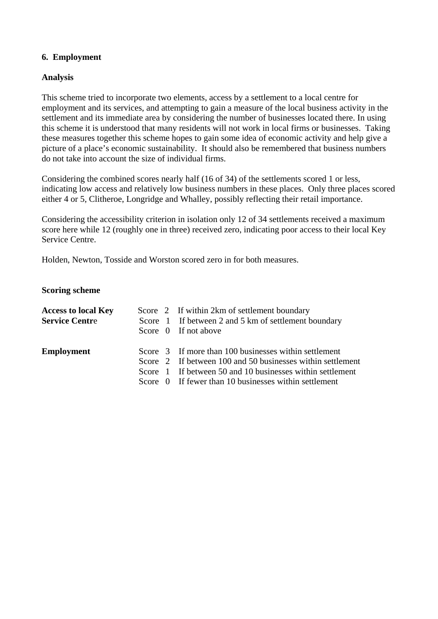# **6. Employment**

### **Analysis**

This scheme tried to incorporate two elements, access by a settlement to a local centre for employment and its services, and attempting to gain a measure of the local business activity in the settlement and its immediate area by considering the number of businesses located there. In using this scheme it is understood that many residents will not work in local firms or businesses. Taking these measures together this scheme hopes to gain some idea of economic activity and help give a picture of a place's economic sustainability. It should also be remembered that business numbers do not take into account the size of individual firms.

Considering the combined scores nearly half (16 of 34) of the settlements scored 1 or less, indicating low access and relatively low business numbers in these places. Only three places scored either 4 or 5, Clitheroe, Longridge and Whalley, possibly reflecting their retail importance.

Considering the accessibility criterion in isolation only 12 of 34 settlements received a maximum score here while 12 (roughly one in three) received zero, indicating poor access to their local Key Service Centre.

Holden, Newton, Tosside and Worston scored zero in for both measures.

#### **Scoring scheme**

| <b>Access to local Key</b><br><b>Service Centre</b> |  | Score 2 If within 2km of settlement boundary<br>Score 1 If between 2 and 5 km of settlement boundary<br>Score 0 If not above                                                                                                              |
|-----------------------------------------------------|--|-------------------------------------------------------------------------------------------------------------------------------------------------------------------------------------------------------------------------------------------|
| <b>Employment</b>                                   |  | Score 3 If more than 100 businesses within settlement<br>Score 2 If between 100 and 50 businesses within settlement<br>Score 1 If between 50 and 10 businesses within settlement<br>Score 0 If fewer than 10 businesses within settlement |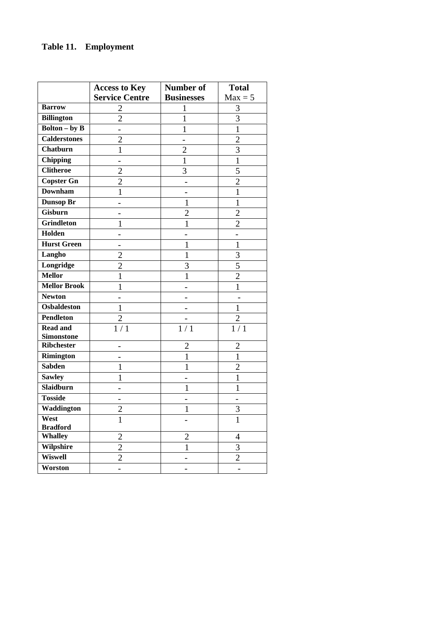|                             |                                               | Number of         | <b>Total</b>   |
|-----------------------------|-----------------------------------------------|-------------------|----------------|
|                             | <b>Access to Key</b><br><b>Service Centre</b> | <b>Businesses</b> | $Max = 5$      |
| <b>Barrow</b>               |                                               |                   | 3              |
| <b>Billington</b>           | 2<br>$\overline{2}$                           | 1<br>1            | $\overline{3}$ |
| <b>Bolton</b> – by <b>B</b> |                                               | 1                 | $\mathbf{1}$   |
| <b>Calderstones</b>         | $\overline{2}$                                |                   | $\overline{2}$ |
| <b>Chatburn</b>             |                                               |                   |                |
|                             | $\mathbf{1}$                                  | $\overline{2}$    | $\overline{3}$ |
| <b>Chipping</b>             |                                               | 1                 | $\mathbf{1}$   |
| <b>Clitheroe</b>            | $\overline{2}$                                | 3                 | 5              |
| <b>Copster Gn</b>           | $\overline{2}$                                |                   | $\overline{2}$ |
| <b>Downham</b>              | $\mathbf 1$                                   |                   | $\mathbf{1}$   |
| Dunsop Br                   |                                               | 1                 | $\mathbf{1}$   |
| <b>Gisburn</b>              |                                               | $\overline{2}$    | $\overline{2}$ |
| <b>Grindleton</b>           | 1                                             | 1                 | $\overline{2}$ |
| Holden                      |                                               |                   |                |
| <b>Hurst Green</b>          |                                               | 1                 | $\mathbf{1}$   |
| Langho                      | $\overline{2}$                                | 1                 | 3              |
| Longridge                   | $\overline{2}$                                | 3                 | $\overline{5}$ |
| <b>Mellor</b>               | $\mathbf{1}$                                  | 1                 | $\overline{2}$ |
| <b>Mellor Brook</b>         | 1                                             |                   | $\mathbf{1}$   |
| <b>Newton</b>               |                                               |                   |                |
| <b>Osbaldeston</b>          | $\mathbf{1}$                                  |                   | $\mathbf{1}$   |
| <b>Pendleton</b>            | $\overline{2}$                                |                   | $\overline{2}$ |
| <b>Read and</b>             | 1/1                                           | 1/1               | 1/1            |
| <b>Simonstone</b>           |                                               |                   |                |
| <b>Ribchester</b>           |                                               | 2                 | $\overline{2}$ |
| Rimington                   |                                               | 1                 | $\mathbf{1}$   |
| <b>Sabden</b>               | 1                                             | 1                 | $\overline{2}$ |
| <b>Sawley</b>               | 1                                             |                   | $\mathbf{1}$   |
| Slaidburn                   |                                               | 1                 | $\mathbf{1}$   |
| <b>Tosside</b>              |                                               |                   |                |
| Waddington                  | $\overline{c}$                                |                   | 3              |
| West                        | $\mathbf{1}$                                  |                   | $\mathbf{1}$   |
| <b>Bradford</b>             |                                               |                   |                |
| <b>Whalley</b>              | $\overline{2}$                                | $\overline{2}$    | $\overline{4}$ |
| Wilpshire                   | $\overline{c}$                                | $\mathbf{1}$      | 3              |
| <b>Wiswell</b>              | $\overline{2}$                                |                   | $\overline{2}$ |
| Worston                     | $\overline{\phantom{0}}$                      |                   | -              |

# **Table 11. Employment**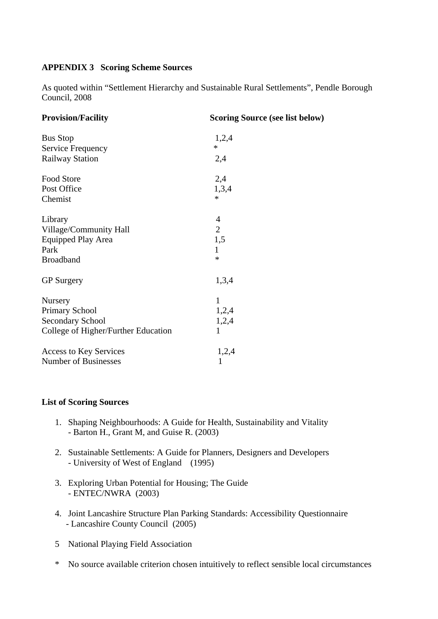# **APPENDIX 3 Scoring Scheme Sources**

As quoted within "Settlement Hierarchy and Sustainable Rural Settlements", Pendle Borough Council, 2008

| <b>Provision/Facility</b>           | <b>Scoring Source (see list below)</b> |
|-------------------------------------|----------------------------------------|
| <b>Bus Stop</b>                     | 1,2,4                                  |
| Service Frequency                   | $\ast$                                 |
| <b>Railway Station</b>              | 2,4                                    |
| Food Store                          | 2,4                                    |
| Post Office                         | 1,3,4                                  |
| Chemist                             | $\ast$                                 |
| Library                             | 4                                      |
| Village/Community Hall              | $\overline{2}$                         |
| <b>Equipped Play Area</b>           | 1,5                                    |
| Park                                | $\mathbf{1}$                           |
| <b>Broadband</b>                    | $\ast$                                 |
| <b>GP</b> Surgery                   | 1,3,4                                  |
| Nursery                             | 1                                      |
| <b>Primary School</b>               | 1,2,4                                  |
| <b>Secondary School</b>             | 1,2,4                                  |
| College of Higher/Further Education | 1                                      |
| <b>Access to Key Services</b>       | 1,2,4                                  |
| <b>Number of Businesses</b>         | 1                                      |

#### **List of Scoring Sources**

- 1. Shaping Neighbourhoods: A Guide for Health, Sustainability and Vitality - Barton H., Grant M, and Guise R. (2003)
- 2. Sustainable Settlements: A Guide for Planners, Designers and Developers - University of West of England (1995)
- 3. Exploring Urban Potential for Housing; The Guide - ENTEC/NWRA (2003)
- 4. Joint Lancashire Structure Plan Parking Standards: Accessibility Questionnaire - Lancashire County Council (2005)
- 5 National Playing Field Association
- \* No source available criterion chosen intuitively to reflect sensible local circumstances